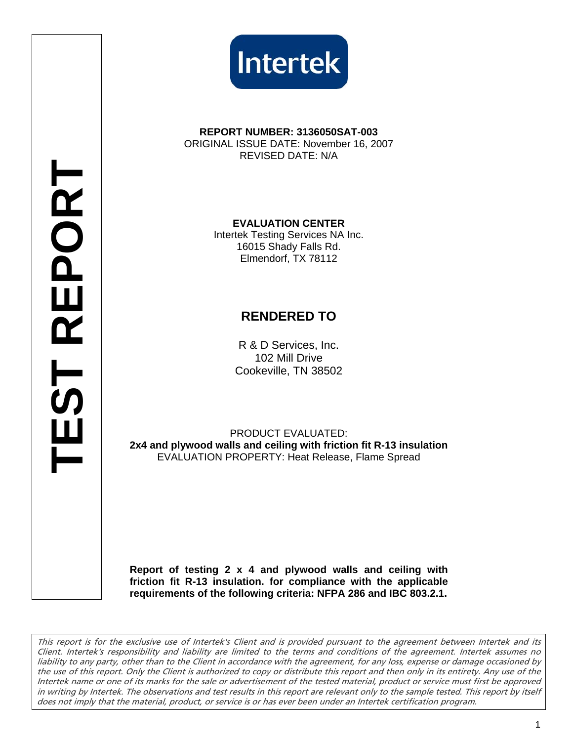



#### **REPORT NUMBER: 3136050SAT-003**  ORIGINAL ISSUE DATE: November 16, 2007

REVISED DATE: N/A

**EVALUATION CENTER** 

Intertek Testing Services NA Inc. 16015 Shady Falls Rd. Elmendorf, TX 78112

## **RENDERED TO**

R & D Services, Inc. 102 Mill Drive Cookeville, TN 38502

PRODUCT EVALUATED: **2x4 and plywood walls and ceiling with friction fit R-13 insulation**  EVALUATION PROPERTY: Heat Release, Flame Spread

**Report of testing 2 x 4 and plywood walls and ceiling with friction fit R-13 insulation. for compliance with the applicable requirements of the following criteria: NFPA 286 and IBC 803.2.1.** 

This report is for the exclusive use of Intertek's Client and is provided pursuant to the agreement between Intertek and its Client. Intertek's responsibility and liability are limited to the terms and conditions of the agreement. Intertek assumes no liability to any party, other than to the Client in accordance with the agreement, for any loss, expense or damage occasioned by the use of this report. Only the Client is authorized to copy or distribute this report and then only in its entirety. Any use of the Intertek name or one of its marks for the sale or advertisement of the tested material, product or service must first be approved in writing by Intertek. The observations and test results in this report are relevant only to the sample tested. This report by itself does not imply that the material, product, or service is or has ever been under an Intertek certification program.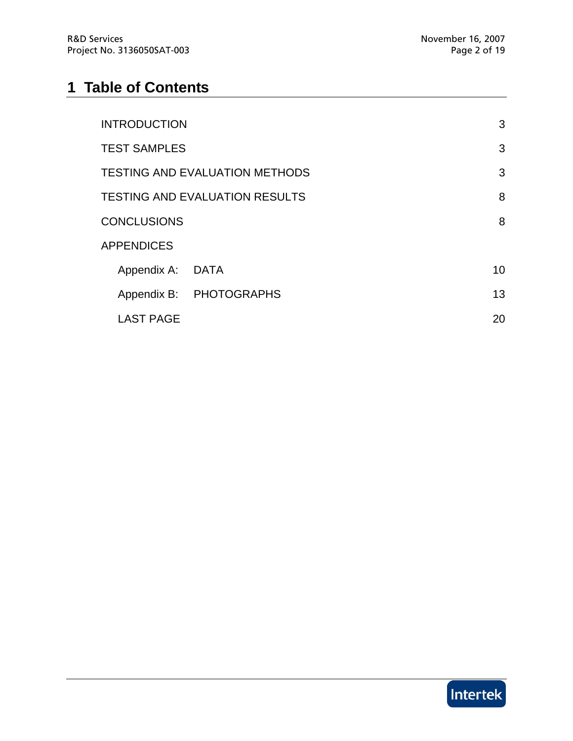# **1 Table of Contents**

| <b>INTRODUCTION</b>                   |                         | 3  |
|---------------------------------------|-------------------------|----|
| <b>TEST SAMPLES</b>                   |                         | 3  |
| <b>TESTING AND EVALUATION METHODS</b> |                         |    |
| <b>TESTING AND EVALUATION RESULTS</b> |                         | 8  |
| <b>CONCLUSIONS</b>                    |                         | 8  |
| <b>APPENDICES</b>                     |                         |    |
| Appendix A: DATA                      |                         | 10 |
|                                       | Appendix B: PHOTOGRAPHS | 13 |
| <b>LAST PAGE</b>                      |                         | 20 |

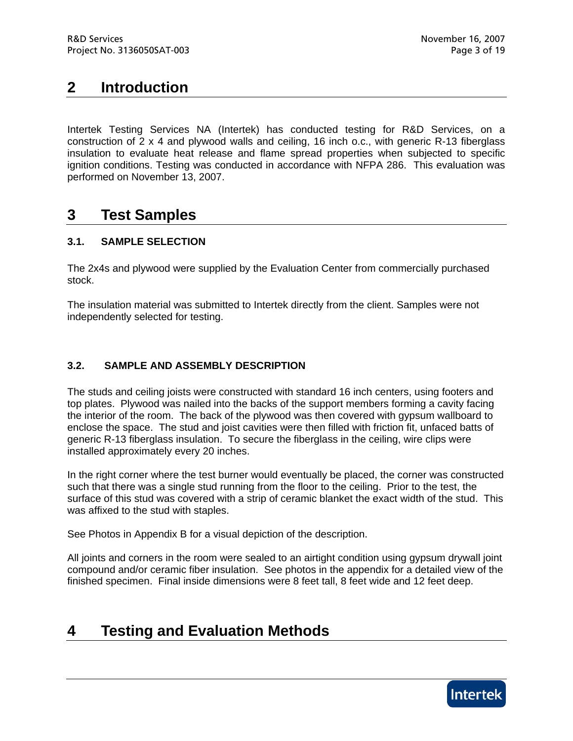## **2 Introduction**

Intertek Testing Services NA (Intertek) has conducted testing for R&D Services, on a construction of 2 x 4 and plywood walls and ceiling, 16 inch o.c., with generic R-13 fiberglass insulation to evaluate heat release and flame spread properties when subjected to specific ignition conditions. Testing was conducted in accordance with NFPA 286. This evaluation was performed on November 13, 2007.

### **3 Test Samples**

### **3.1. SAMPLE SELECTION**

The 2x4s and plywood were supplied by the Evaluation Center from commercially purchased stock.

The insulation material was submitted to Intertek directly from the client. Samples were not independently selected for testing.

### **3.2. SAMPLE AND ASSEMBLY DESCRIPTION**

The studs and ceiling joists were constructed with standard 16 inch centers, using footers and top plates. Plywood was nailed into the backs of the support members forming a cavity facing the interior of the room. The back of the plywood was then covered with gypsum wallboard to enclose the space. The stud and joist cavities were then filled with friction fit, unfaced batts of generic R-13 fiberglass insulation. To secure the fiberglass in the ceiling, wire clips were installed approximately every 20 inches.

In the right corner where the test burner would eventually be placed, the corner was constructed such that there was a single stud running from the floor to the ceiling. Prior to the test, the surface of this stud was covered with a strip of ceramic blanket the exact width of the stud. This was affixed to the stud with staples.

See Photos in Appendix B for a visual depiction of the description.

All joints and corners in the room were sealed to an airtight condition using gypsum drywall joint compound and/or ceramic fiber insulation. See photos in the appendix for a detailed view of the finished specimen. Final inside dimensions were 8 feet tall, 8 feet wide and 12 feet deep.

## **4 Testing and Evaluation Methods**

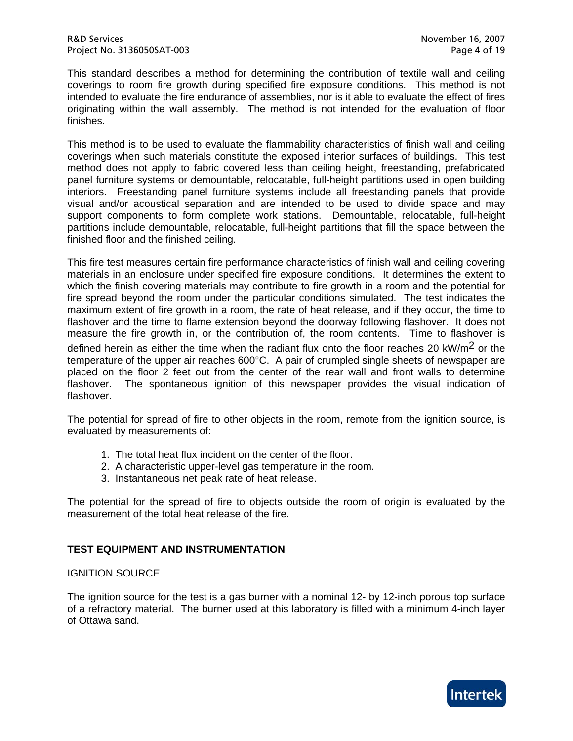This standard describes a method for determining the contribution of textile wall and ceiling coverings to room fire growth during specified fire exposure conditions. This method is not intended to evaluate the fire endurance of assemblies, nor is it able to evaluate the effect of fires originating within the wall assembly. The method is not intended for the evaluation of floor finishes.

This method is to be used to evaluate the flammability characteristics of finish wall and ceiling coverings when such materials constitute the exposed interior surfaces of buildings. This test method does not apply to fabric covered less than ceiling height, freestanding, prefabricated panel furniture systems or demountable, relocatable, full-height partitions used in open building interiors. Freestanding panel furniture systems include all freestanding panels that provide visual and/or acoustical separation and are intended to be used to divide space and may support components to form complete work stations. Demountable, relocatable, full-height partitions include demountable, relocatable, full-height partitions that fill the space between the finished floor and the finished ceiling.

This fire test measures certain fire performance characteristics of finish wall and ceiling covering materials in an enclosure under specified fire exposure conditions. It determines the extent to which the finish covering materials may contribute to fire growth in a room and the potential for fire spread beyond the room under the particular conditions simulated. The test indicates the maximum extent of fire growth in a room, the rate of heat release, and if they occur, the time to flashover and the time to flame extension beyond the doorway following flashover. It does not measure the fire growth in, or the contribution of, the room contents. Time to flashover is defined herein as either the time when the radiant flux onto the floor reaches 20 kW/m<sup>2</sup> or the temperature of the upper air reaches 600°C. A pair of crumpled single sheets of newspaper are placed on the floor 2 feet out from the center of the rear wall and front walls to determine flashover. The spontaneous ignition of this newspaper provides the visual indication of flashover.

The potential for spread of fire to other objects in the room, remote from the ignition source, is evaluated by measurements of:

- 1. The total heat flux incident on the center of the floor.
- 2. A characteristic upper-level gas temperature in the room.
- 3. Instantaneous net peak rate of heat release.

The potential for the spread of fire to objects outside the room of origin is evaluated by the measurement of the total heat release of the fire.

#### **TEST EQUIPMENT AND INSTRUMENTATION**

#### IGNITION SOURCE

The ignition source for the test is a gas burner with a nominal 12- by 12-inch porous top surface of a refractory material. The burner used at this laboratory is filled with a minimum 4-inch layer of Ottawa sand.

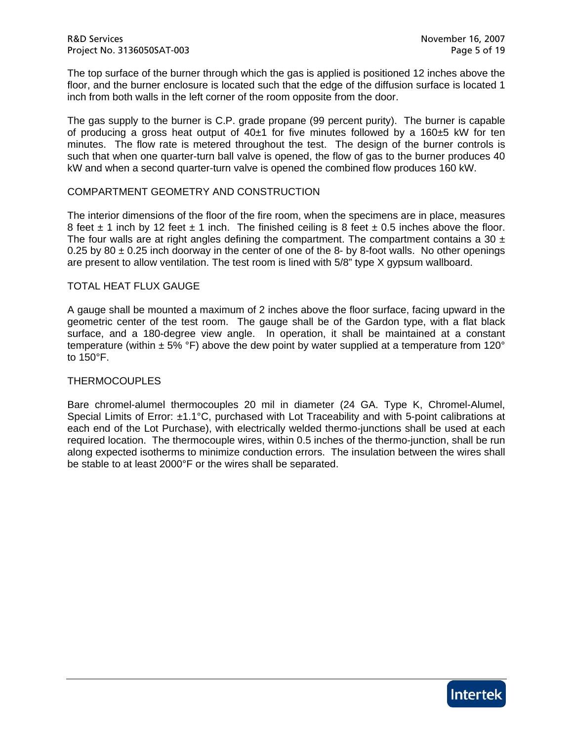The top surface of the burner through which the gas is applied is positioned 12 inches above the floor, and the burner enclosure is located such that the edge of the diffusion surface is located 1 inch from both walls in the left corner of the room opposite from the door.

The gas supply to the burner is C.P. grade propane (99 percent purity). The burner is capable of producing a gross heat output of  $40±1$  for five minutes followed by a 160 $±5$  kW for ten minutes. The flow rate is metered throughout the test. The design of the burner controls is such that when one quarter-turn ball valve is opened, the flow of gas to the burner produces 40 kW and when a second quarter-turn valve is opened the combined flow produces 160 kW.

#### COMPARTMENT GEOMETRY AND CONSTRUCTION

The interior dimensions of the floor of the fire room, when the specimens are in place, measures 8 feet  $\pm$  1 inch by 12 feet  $\pm$  1 inch. The finished ceiling is 8 feet  $\pm$  0.5 inches above the floor. The four walls are at right angles defining the compartment. The compartment contains a 30  $\pm$ 0.25 by 80  $\pm$  0.25 inch doorway in the center of one of the 8- by 8-foot walls. No other openings are present to allow ventilation. The test room is lined with 5/8" type X gypsum wallboard.

#### TOTAL HEAT FLUX GAUGE

A gauge shall be mounted a maximum of 2 inches above the floor surface, facing upward in the geometric center of the test room. The gauge shall be of the Gardon type, with a flat black surface, and a 180-degree view angle. In operation, it shall be maintained at a constant temperature (within  $\pm$  5% °F) above the dew point by water supplied at a temperature from 120° to 150°F.

#### THERMOCOUPLES

Bare chromel-alumel thermocouples 20 mil in diameter (24 GA. Type K, Chromel-Alumel, Special Limits of Error: ±1.1°C, purchased with Lot Traceability and with 5-point calibrations at each end of the Lot Purchase), with electrically welded thermo-junctions shall be used at each required location. The thermocouple wires, within 0.5 inches of the thermo-junction, shall be run along expected isotherms to minimize conduction errors. The insulation between the wires shall be stable to at least 2000°F or the wires shall be separated.

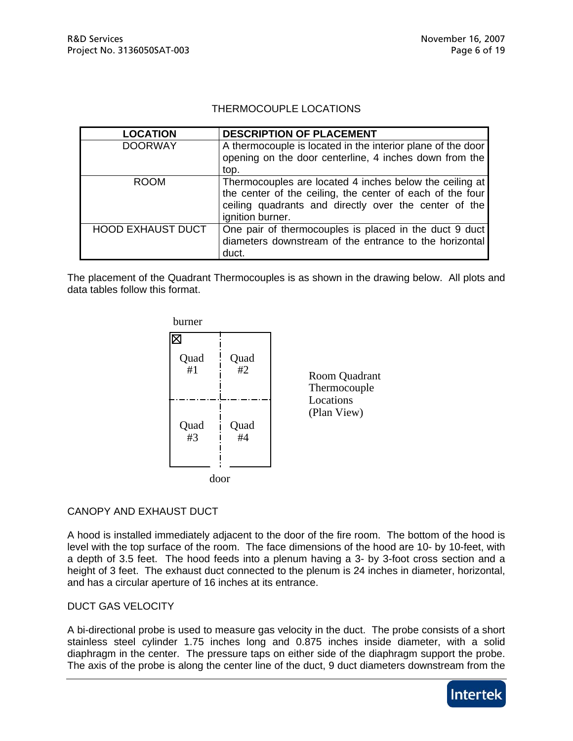#### THERMOCOUPLE LOCATIONS

| <b>LOCATION</b>          | DESCRIPTION OF PLACEMENT                                    |
|--------------------------|-------------------------------------------------------------|
| <b>DOORWAY</b>           | A thermocouple is located in the interior plane of the door |
|                          | opening on the door centerline, 4 inches down from the      |
|                          | top.                                                        |
| <b>ROOM</b>              | Thermocouples are located 4 inches below the ceiling at     |
|                          | the center of the ceiling, the center of each of the four   |
|                          | ceiling quadrants and directly over the center of the       |
|                          | ignition burner.                                            |
| <b>HOOD EXHAUST DUCT</b> | One pair of thermocouples is placed in the duct 9 duct      |
|                          | diameters downstream of the entrance to the horizontal      |
|                          | duct.                                                       |

The placement of the Quadrant Thermocouples is as shown in the drawing below. All plots and data tables follow this format.



#### CANOPY AND EXHAUST DUCT

A hood is installed immediately adjacent to the door of the fire room. The bottom of the hood is level with the top surface of the room. The face dimensions of the hood are 10- by 10-feet, with a depth of 3.5 feet. The hood feeds into a plenum having a 3- by 3-foot cross section and a height of 3 feet. The exhaust duct connected to the plenum is 24 inches in diameter, horizontal, and has a circular aperture of 16 inches at its entrance.

#### DUCT GAS VELOCITY

A bi-directional probe is used to measure gas velocity in the duct. The probe consists of a short stainless steel cylinder 1.75 inches long and 0.875 inches inside diameter, with a solid diaphragm in the center. The pressure taps on either side of the diaphragm support the probe. The axis of the probe is along the center line of the duct, 9 duct diameters downstream from the

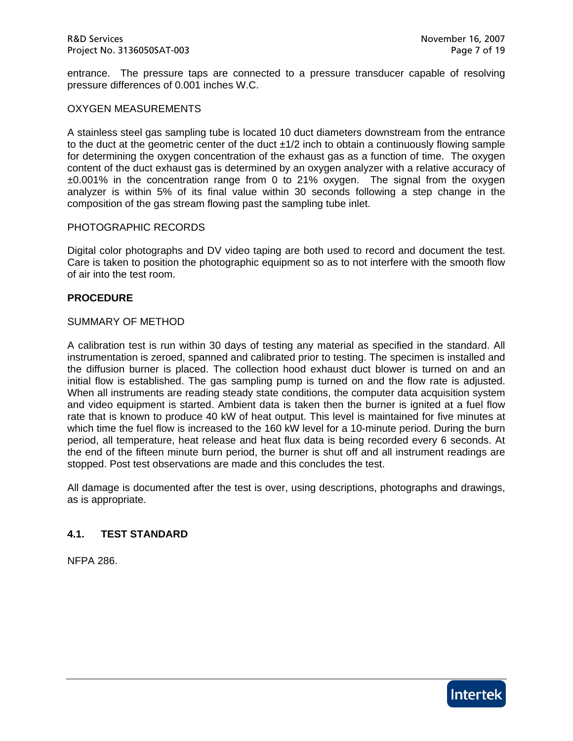entrance. The pressure taps are connected to a pressure transducer capable of resolving pressure differences of 0.001 inches W.C.

#### OXYGEN MEASUREMENTS

A stainless steel gas sampling tube is located 10 duct diameters downstream from the entrance to the duct at the geometric center of the duct ±1/2 inch to obtain a continuously flowing sample for determining the oxygen concentration of the exhaust gas as a function of time. The oxygen content of the duct exhaust gas is determined by an oxygen analyzer with a relative accuracy of ±0.001% in the concentration range from 0 to 21% oxygen. The signal from the oxygen analyzer is within 5% of its final value within 30 seconds following a step change in the composition of the gas stream flowing past the sampling tube inlet.

#### PHOTOGRAPHIC RECORDS

Digital color photographs and DV video taping are both used to record and document the test. Care is taken to position the photographic equipment so as to not interfere with the smooth flow of air into the test room.

#### **PROCEDURE**

#### SUMMARY OF METHOD

A calibration test is run within 30 days of testing any material as specified in the standard. All instrumentation is zeroed, spanned and calibrated prior to testing. The specimen is installed and the diffusion burner is placed. The collection hood exhaust duct blower is turned on and an initial flow is established. The gas sampling pump is turned on and the flow rate is adjusted. When all instruments are reading steady state conditions, the computer data acquisition system and video equipment is started. Ambient data is taken then the burner is ignited at a fuel flow rate that is known to produce 40 kW of heat output. This level is maintained for five minutes at which time the fuel flow is increased to the 160 kW level for a 10-minute period. During the burn period, all temperature, heat release and heat flux data is being recorded every 6 seconds. At the end of the fifteen minute burn period, the burner is shut off and all instrument readings are stopped. Post test observations are made and this concludes the test.

All damage is documented after the test is over, using descriptions, photographs and drawings, as is appropriate.

#### **4.1. TEST STANDARD**

NFPA 286.

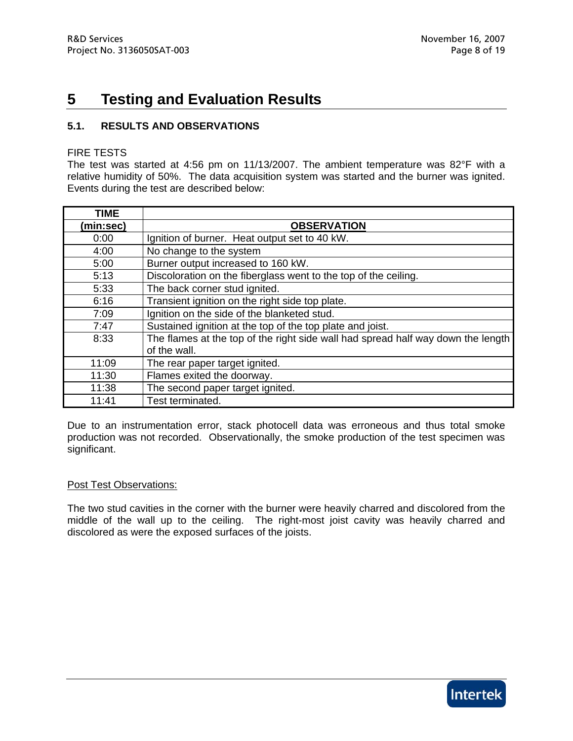## **5 Testing and Evaluation Results**

### **5.1. RESULTS AND OBSERVATIONS**

#### FIRE TESTS

The test was started at 4:56 pm on 11/13/2007. The ambient temperature was 82°F with a relative humidity of 50%. The data acquisition system was started and the burner was ignited. Events during the test are described below:

| TIME      |                                                                                  |
|-----------|----------------------------------------------------------------------------------|
| (min:sec) | <b>OBSERVATION</b>                                                               |
| 0:00      | Ignition of burner. Heat output set to 40 kW.                                    |
| 4:00      | No change to the system                                                          |
| 5:00      | Burner output increased to 160 kW.                                               |
| 5:13      | Discoloration on the fiberglass went to the top of the ceiling.                  |
| 5:33      | The back corner stud ignited.                                                    |
| 6:16      | Transient ignition on the right side top plate.                                  |
| 7:09      | Ignition on the side of the blanketed stud.                                      |
| 7:47      | Sustained ignition at the top of the top plate and joist.                        |
| 8:33      | The flames at the top of the right side wall had spread half way down the length |
|           | of the wall.                                                                     |
| 11:09     | The rear paper target ignited.                                                   |
| 11:30     | Flames exited the doorway.                                                       |
| 11:38     | The second paper target ignited.                                                 |
| 11:41     | Test terminated.                                                                 |

Due to an instrumentation error, stack photocell data was erroneous and thus total smoke production was not recorded. Observationally, the smoke production of the test specimen was significant.

#### Post Test Observations:

The two stud cavities in the corner with the burner were heavily charred and discolored from the middle of the wall up to the ceiling. The right-most joist cavity was heavily charred and discolored as were the exposed surfaces of the joists.

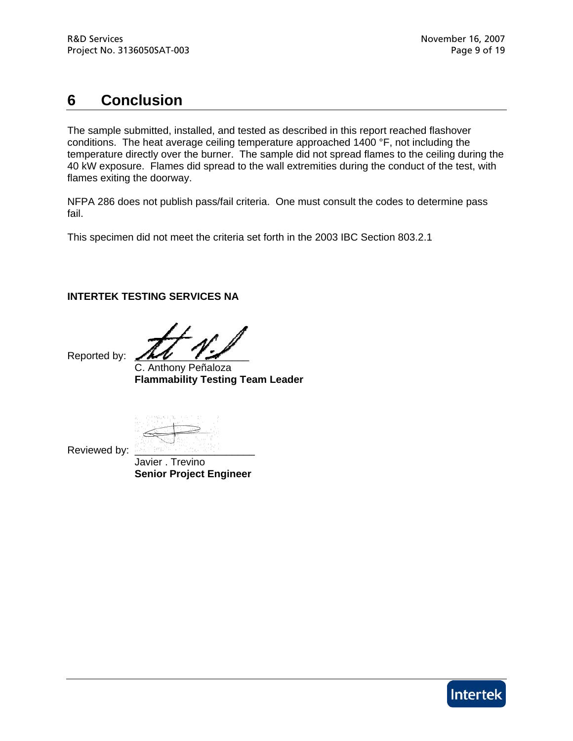## **6 Conclusion**

The sample submitted, installed, and tested as described in this report reached flashover conditions. The heat average ceiling temperature approached 1400 °F, not including the temperature directly over the burner. The sample did not spread flames to the ceiling during the 40 kW exposure. Flames did spread to the wall extremities during the conduct of the test, with flames exiting the doorway.

NFPA 286 does not publish pass/fail criteria. One must consult the codes to determine pass fail.

This specimen did not meet the criteria set forth in the 2003 IBC Section 803.2.1

#### **INTERTEK TESTING SERVICES NA**

Reported by:

 C. Anthony Peñaloza **Flammability Testing Team Leader** 

Reviewed by:

 Javier . Trevino **Senior Project Engineer** 

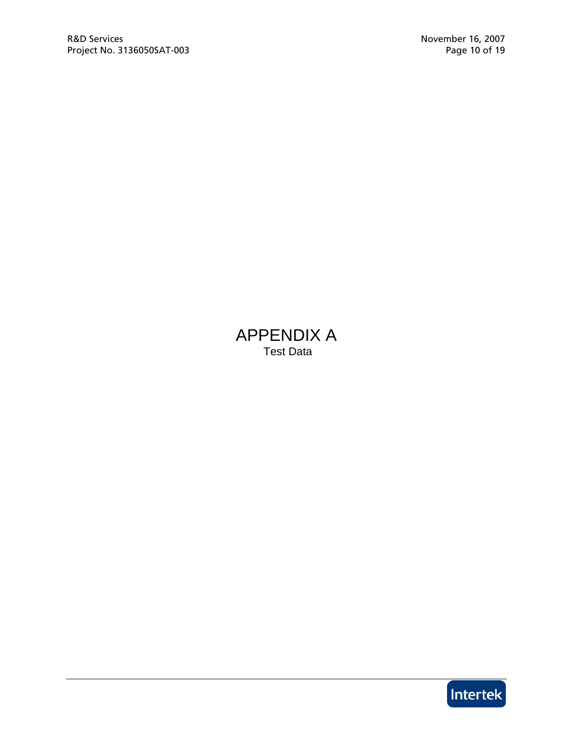### APPENDIX A Test Data

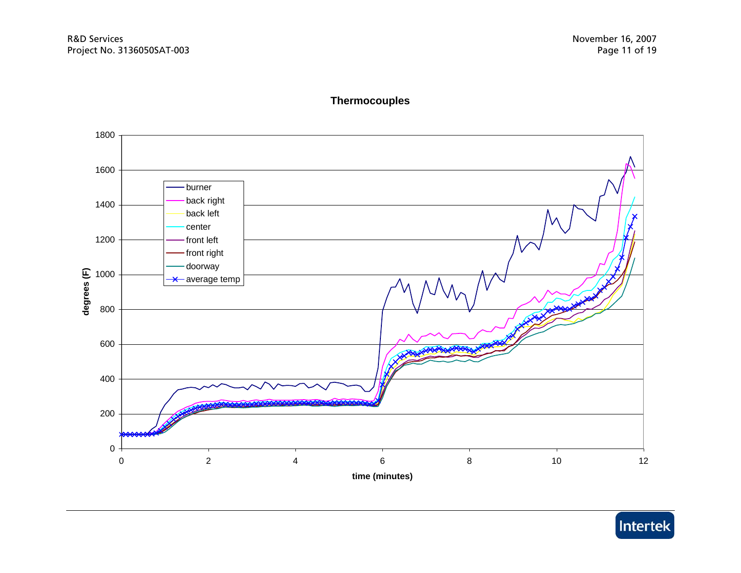

### **Thermocouples**

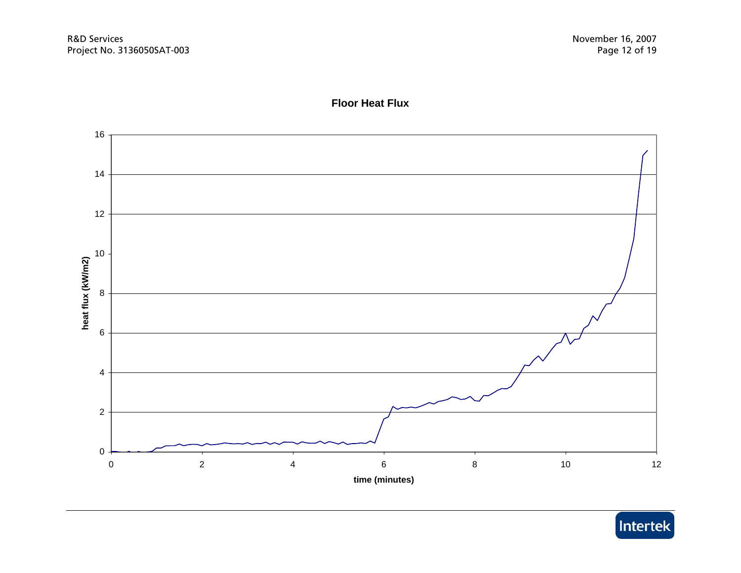

#### **Floor Heat Flux**

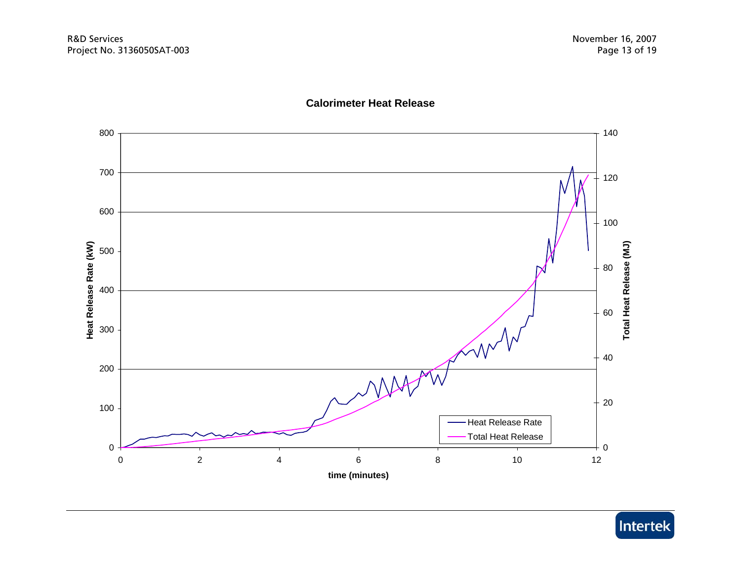

#### **Calorimeter Heat Release**

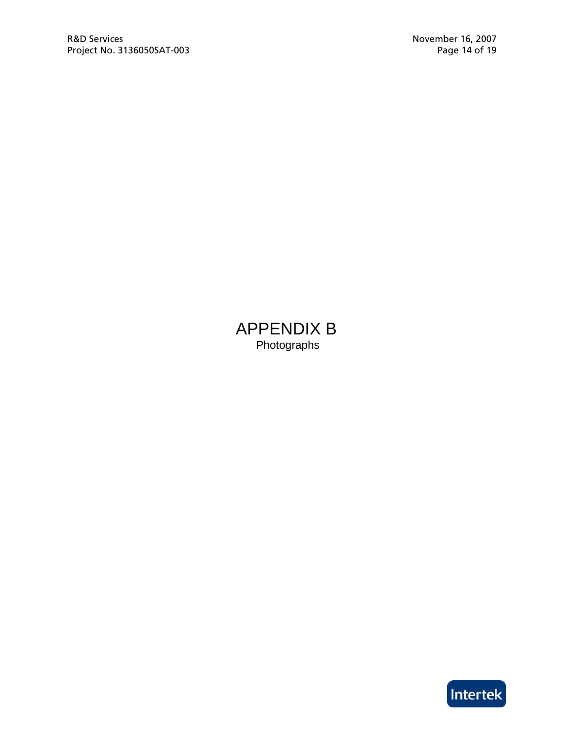APPENDIX B Photographs

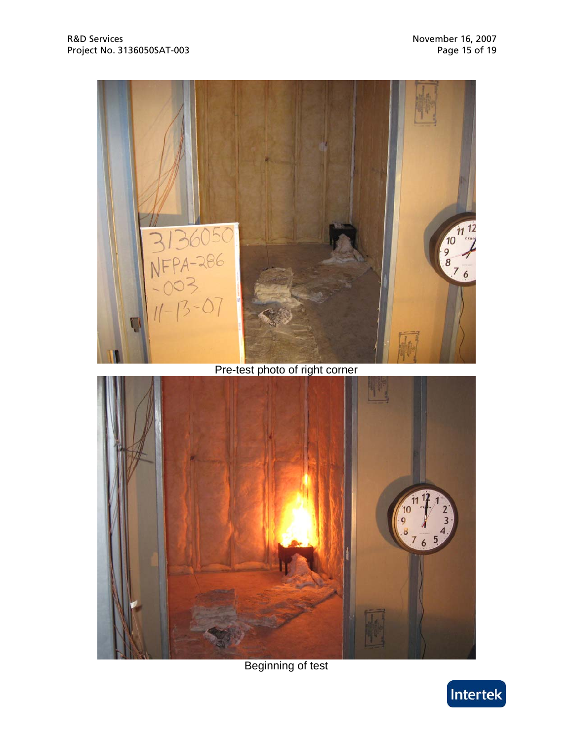



Beginning of test

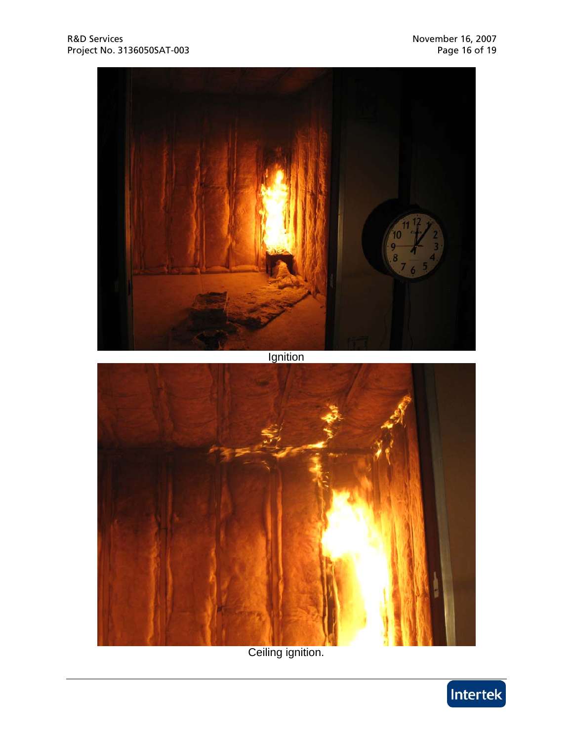

Ceiling ignition.

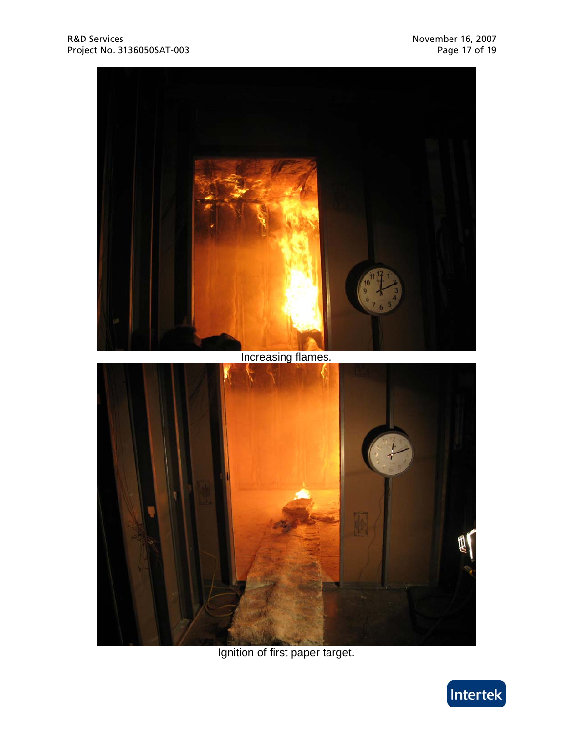

Ignition of first paper target.

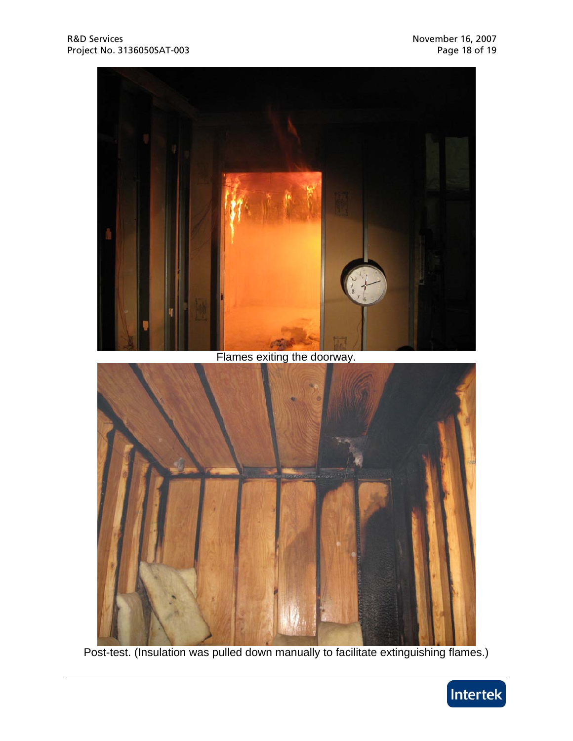

Flames exiting the doorway.



Post-test. (Insulation was pulled down manually to facilitate extinguishing flames.)